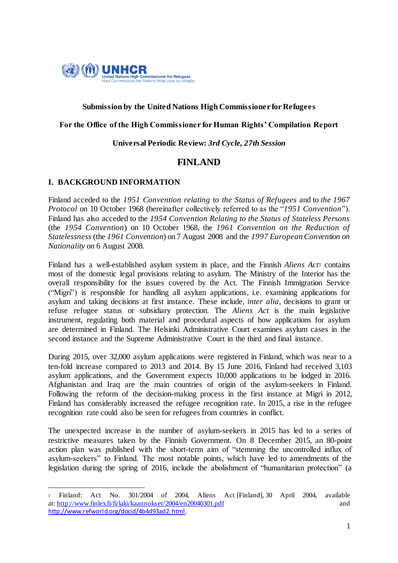

### **Submission by the United Nations High Commissioner for Refugees**

### **For the Office of the High Commissioner for Human Rights' Compilation Report**

**Universal Periodic Review:** *3rd Cycle, 27th Session*

# **FINLAND**

### **I. BACKGROUND INFORMATION**

1

Finland acceded to the *1951 Convention relating to the Status of Refugees* and to *the 1967 Protocol* on 10 October 1968 (hereinafter collectively referred to as the "*1951 Convention*"). Finland has also acceded to the *1954 Convention Relating to the Status of Stateless Persons* (the *1954 Convention*) on 10 October 1968, the *1961 Convention on the Reduction of Statelessness* (the *1961 Convention*) on 7 August 2008 and the *1997 European Convention on Nationality* on 6 August 2008.

Finland has a well-established asylum system in place, and the Finnish *Aliens Act*<sup>1</sup> contains most of the domestic legal provisions relating to asylum. The Ministry of the Interior has the overall responsibility for the issues covered by the Act. The Finnish Immigration Service ("Migri") is responsible for handling all asylum applications, i.e. examining applications for asylum and taking decisions at first instance. These include, *inter alia*, decisions to grant or refuse refugee status or subsidiary protection. The *Aliens Act* is the main legislative instrument, regulating both material and procedural aspects of how applications for asylum are determined in Finland. The Helsinki Administrative Court examines asylum cases in the second instance and the Supreme Administrative Court in the third and final instance.

During 2015, over 32,000 asylum applications were registered in Finland, which was near to a ten-fold increase compared to 2013 and 2014. By 15 June 2016, Finland had received 3,103 asylum applications, and the Government expects 10,000 applications to be lodged in 2016. Afghanistan and Iraq are the main countries of origin of the asylum-seekers in Finland. Following the reform of the decision-making process in the first instance at Migri in 2012, Finland has considerably increased the refugee recognition rate. In 2015, a rise in the refugee recognition rate could also be seen for refugees from countries in conflict.

The unexpected increase in the number of asylum-seekers in 2015 has led to a series of restrictive measures taken by the Finnish Government. On 8 December 2015, an 80-point action plan was published with the short-term aim of "stemming the uncontrolled influx of asylum-seekers" to Finland. The most notable points, which have led to amendments of the legislation during the spring of 2016, include the abolishment of "humanitarian protection" (a

<sup>1</sup> Finland: Act No. 301/2004 of 2004, Aliens Act [Finland], 30 April 2004, available at: http://www.finlex.fi/fi/laki/kaannokset/2004/en20040301.pdf and http://www.refworld.org/docid/4b4d93ad2. html.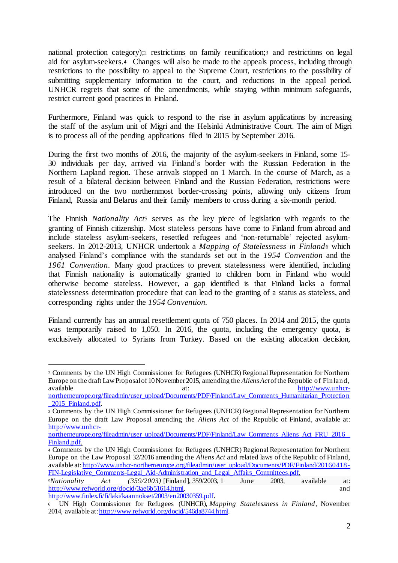national protection category);<sup>2</sup> restrictions on family reunification;<sup>3</sup> and restrictions on legal aid for asylum-seekers.<sup>4</sup> Changes will also be made to the appeals process, including through restrictions to the possibility to appeal to the Supreme Court, restrictions to the possibility of submitting supplementary information to the court, and reductions in the appeal period. UNHCR regrets that some of the amendments, while staying within minimum safeguards, restrict current good practices in Finland.

Furthermore, Finland was quick to respond to the rise in asylum applications by increasing the staff of the asylum unit of Migri and the Helsinki Administrative Court. The aim of Migri is to process all of the pending applications filed in 2015 by September 2016.

During the first two months of 2016, the majority of the asylum-seekers in Finland, some 15- 30 individuals per day, arrived via Finland's border with the Russian Federation in the Northern Lapland region. These arrivals stopped on 1 March. In the course of March, as a result of a bilateral decision between Finland and the Russian Federation, restrictions were introduced on the two northernmost border-crossing points, allowing only citizens from Finland, Russia and Belarus and their family members to cross during a six-month period.

The Finnish *Nationality Act*<sup>5</sup> serves as the key piece of legislation with regards to the granting of Finnish citizenship. Most stateless persons have come to Finland from abroad and include stateless asylum-seekers, resettled refugees and 'non-returnable' rejected asylumseekers. In 2012-2013, UNHCR undertook a *Mapping of Statelessness in Finland*<sup>6</sup> which analysed Finland's compliance with the standards set out in the *1954 Convention* and the *1961 Convention.* Many good practices to prevent statelessness were identified, including that Finnish nationality is automatically granted to children born in Finland who would otherwise become stateless. However, a gap identified is that Finland lacks a formal statelessness determination procedure that can lead to the granting of a status as stateless, and corresponding rights under the *1954 Convention*.

Finland currently has an annual resettlement quota of 750 places. In 2014 and 2015, the quota was temporarily raised to 1,050. In 2016, the quota, including the emergency quota, is exclusively allocated to Syrians from Turkey. Based on the existing allocation decision,

<sup>2</sup> Comments by the UN High Commissioner for Refugees (UNHCR) Regional Representation for Northern Europe on the draft Law Proposal of 10 November 2015, amending the *Aliens Act*of the Republic of Finland, available at: http://www.unhcr-

1

northerneurope.org/fileadmin/user\_upload/Documents/PDF/Finland/Law\_Comments\_Humanitarian\_Protection 2015 Finland.pdf.

<sup>3</sup> Comments by the UN High Commissioner for Refugees (UNHCR) Regional Representation for Northern Europe on the draft Law Proposal amending the *Aliens Act* of the Republic of Finland, available at: http://www.unhcr-

northerneurope.org/fileadmin/user\_upload/Documents/PDF/Finland/Law\_Comments\_Aliens\_Act\_FRU\_2016 Finland.pdf.

<sup>4</sup> Comments by the UN High Commissioner for Refugees (UNHCR) Regional Representation for Northern Europe on the Law Proposal 32/2016 amending the *Aliens Act* and related laws of the Republic of Finland, available at: http://www.unhcr-northerneurope.org/fileadmin/user\_upload/Documents/PDF/Finland/20160418- FIN-Legislative\_Comments-Legal\_Aid-Administration\_and\_Legal\_Affairs\_Committees.pdf.

<sup>5</sup>*Nationality Act (359/2003)* [Finland], 359/2003, 1 June 2003, available at: http://www.refworld.org/docid/3ae6b51614.html. and http://www.finlex.fi/fi/laki/kaannokset/2003/en20030359.pdf.

<sup>6</sup> UN High Commissioner for Refugees (UNHCR), *Mapping Statelessness in Finland*, November 2014, available at: http://www.refworld.org/docid/546da8744.html.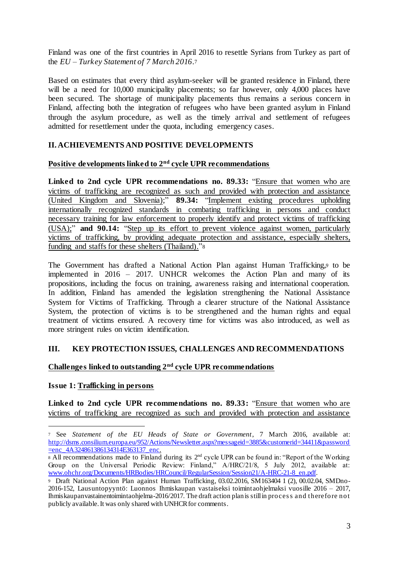Finland was one of the first countries in April 2016 to resettle Syrians from Turkey as part of the *EU – Turkey Statement of 7 March 2016*.<sup>7</sup>

Based on estimates that every third asylum-seeker will be granted residence in Finland, there will be a need for 10,000 municipality placements; so far however, only 4,000 places have been secured. The shortage of municipality placements thus remains a serious concern in Finland, affecting both the integration of refugees who have been granted asylum in Finland through the asylum procedure, as well as the timely arrival and settlement of refugees admitted for resettlement under the quota, including emergency cases.

# **II. ACHIEVEMENTS AND POSITIVE DEVELOPMENTS**

### **Positive developments linked to 2nd cycle UPR recommendations**

**Linked to 2nd cycle UPR recommendations no. 89.33:** "Ensure that women who are victims of trafficking are recognized as such and provided with protection and assistance (United Kingdom and Slovenia);" **89.34:** "Implement existing procedures upholding internationally recognized standards in combating trafficking in persons and conduct necessary training for law enforcement to properly identify and protect victims of trafficking (USA);" **and 90.14:** "Step up its effort to prevent violence against women, particularly victims of trafficking, by providing adequate protection and assistance, especially shelters, funding and staffs for these shelters (Thailand)."<sup>8</sup>

The Government has drafted a National Action Plan against Human Trafficking,*<sup>9</sup>* to be implemented in 2016 – 2017. UNHCR welcomes the Action Plan and many of its propositions, including the focus on training, awareness raising and international cooperation. In addition, Finland has amended the legislation strengthening the National Assistance System for Victims of Trafficking. Through a clearer structure of the National Assistance System, the protection of victims is to be strengthened and the human rights and equal treatment of victims ensured. A recovery time for victims was also introduced, as well as more stringent rules on victim identification.

### **III. KEY PROTECTION ISSUES, CHALLENGES AND RECOMMENDATIONS**

### **Challenges linked to outstanding 2nd cycle UPR recommendations**

### **Issue 1: Trafficking in persons**

 $\overline{a}$ 

**Linked to 2nd cycle UPR recommendations no. 89.33:** "Ensure that women who are victims of trafficking are recognized as such and provided with protection and assistance

<sup>7</sup> See *Statement of the EU Heads of State or Government*, 7 March 2016, available at: http://dsms.consilium.europa.eu/952/Actions/Newsletter.aspx?messageid=3885&customerid=34411&password =enc\_4A324861386134314E363137\_enc.

<sup>8</sup> All recommendations made to Finland during its  $2<sup>nd</sup>$  cycle UPR can be found in: "Report of the Working Group on the Universal Periodic Review: Finland," A/HRC/21/8, 5 July 2012, available at: www.ohchr.org/Documents/HRBodies/HRCouncil/RegularSession/Session21/A-HRC-21-8\_en.pdf.

<sup>9</sup> Draft National Action Plan against Human Trafficking, 03.02.2016, SM163404 1 (2), 00.02.04, SMDno-2016-152, Lausuntopyyntö: Luonnos Ihmiskaupan vastaiseksi toimintaohjelmaksi vuosille 2016 – 2017, Ihmiskaupanvastainentoimintaohjelma-2016/2017. The draft action plan is still in proces s and therefore not publicly available. It was only shared with UNHCR for comments.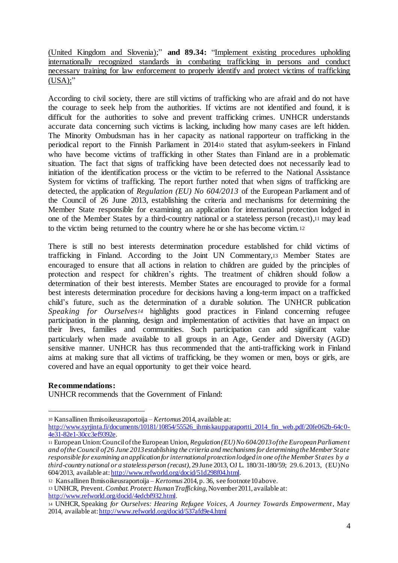(United Kingdom and Slovenia);" **and 89.34:** "Implement existing procedures upholding internationally recognized standards in combating trafficking in persons and conduct necessary training for law enforcement to properly identify and protect victims of trafficking  $(USA)$ ;"

According to civil society, there are still victims of trafficking who are afraid and do not have the courage to seek help from the authorities. If victims are not identified and found, it is difficult for the authorities to solve and prevent trafficking crimes. UNHCR understands accurate data concerning such victims is lacking, including how many cases are left hidden. The Minority Ombudsman has in her capacity as national rapporteur on trafficking in the periodical report to the Finnish Parliament in 2014<sup>10</sup> stated that asylum-seekers in Finland who have become victims of trafficking in other States than Finland are in a problematic situation. The fact that signs of trafficking have been detected does not necessarily lead to initiation of the identification process or the victim to be referred to the National Assistance System for victims of trafficking. The report further noted that when signs of trafficking are detected, the application of *Regulation (EU) No 604/2013* of the European Parliament and of the Council of 26 June 2013, establishing the criteria and mechanisms for determining the Member State responsible for examining an application for international protection lodged in one of the Member States by a third-country national or a stateless person (recast),<sup>11</sup> may lead to the victim being returned to the country where he or she has become victim.<sup>12</sup>

There is still no best interests determination procedure established for child victims of trafficking in Finland. According to the Joint UN Commentary,<sup>13</sup> Member States are encouraged to ensure that all actions in relation to children are guided by the principles of protection and respect for children's rights. The treatment of children should follow a determination of their best interests. Member States are encouraged to provide for a formal best interests determination procedure for decisions having a long-term impact on a trafficked child's future, such as the determination of a durable solution. The UNHCR publication *Speaking for Ourselves<sup>14</sup>* highlights good practices in Finland concerning refugee participation in the planning, design and implementation of activities that have an impact on their lives, families and communities. Such participation can add significant value particularly when made available to all groups in an Age, Gender and Diversity (AGD) sensitive manner. UNHCR has thus recommended that the anti-trafficking work in Finland aims at making sure that all victims of trafficking, be they women or men, boys or girls, are covered and have an equal opportunity to get their voice heard.

### **Recommendations:**

 $\overline{a}$ 

UNHCR recommends that the Government of Finland:

<sup>10</sup> Kansallinen Ihmisoikeusraportoija – *Kertomus* 2014, available at: http://www.syrjinta.fi/documents/10181/10854/55526\_ihmiskaupparaportti\_2014\_fin\_web.pdf/20fe062b-64c0-4e31-82e1-30cc3ef9392e.

<sup>11</sup> European Union: Council of the European Union, *Regulation (EU) No 604/2013 of the European Parliament and of the Council of 26 June 2013 establishing the criteria and mechanisms for determining the Member State responsible for examining an application for international protection lodged in one of the Member States by a third-country national or a stateless person (recast)*, 29 June 2013, OJ L. 180/31-180/59; 29.6.2013, (EU)No 604/2013, available at: http://www.refworld.org/docid/51d298f04.html.

<sup>12</sup> Kansallinen Ihmisoikeusraportoija – *Kertomus* 2014, p. 36, see footnote 10 above.

<sup>13</sup> UNHCR, Prevent*. Combat. Protect: Human Trafficking*, November 2011, available at: http://www.refworld.org/docid/4edcbf932.html.

<sup>14</sup> UNHCR, Speaking *for Ourselves: Hearing Refugee Voices, A Journey Towards Empowerment*, May 2014, available at: http://www.refworld.org/docid/537afd9e4.html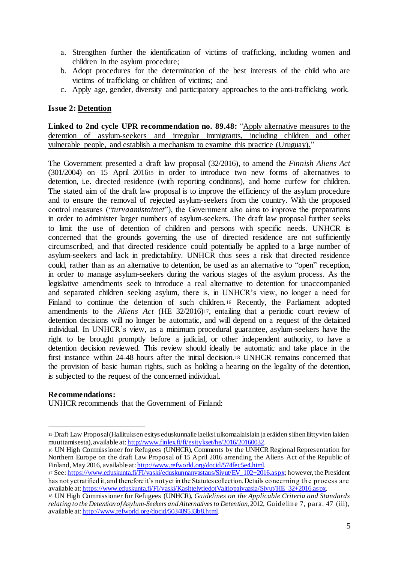- a. Strengthen further the identification of victims of trafficking, including women and children in the asylum procedure;
- b. Adopt procedures for the determination of the best interests of the child who are victims of trafficking or children of victims; and
- c. Apply age, gender, diversity and participatory approaches to the anti-trafficking work.

### **Issue 2: Detention**

**Linked to 2nd cycle UPR recommendation no. 89.48:** "Apply alternative measures to the detention of asylum-seekers and irregular immigrants, including children and other vulnerable people, and establish a mechanism to examine this practice (Uruguay)."

The Government presented a draft law proposal (32/2016), to amend the *Finnish Aliens Act* (301/2004) on 15 April 2016<sup>15</sup> in order to introduce two new forms of alternatives to detention, i.e. directed residence (with reporting conditions), and home curfew for children. The stated aim of the draft law proposal is to improve the efficiency of the asylum procedure and to ensure the removal of rejected asylum-seekers from the country. With the proposed control measures ("*turvaamistoimet*"), the Government also aims to improve the preparations in order to administer larger numbers of asylum-seekers. The draft law proposal further seeks to limit the use of detention of children and persons with specific needs. UNHCR is concerned that the grounds governing the use of directed residence are not sufficiently circumscribed, and that directed residence could potentially be applied to a large number of asylum-seekers and lack in predictability. UNHCR thus sees a risk that directed residence could, rather than as an alternative to detention, be used as an alternative to "open" reception, in order to manage asylum-seekers during the various stages of the asylum process. As the legislative amendments seek to introduce a real alternative to detention for unaccompanied and separated children seeking asylum, there is, in UNHCR's view, no longer a need for Finland to continue the detention of such children.<sup>16</sup> Recently, the Parliament adopted amendments to the *Aliens Act* (HE 32/2016)17, entailing that a periodic court review of detention decisions will no longer be automatic, and will depend on a request of the detained individual. In UNHCR's view, as a minimum procedural guarantee, asylum-seekers have the right to be brought promptly before a judicial, or other independent authority, to have a detention decision reviewed. This review should ideally be automatic and take place in the first instance within 24-48 hours after the initial decision.<sup>18</sup> UNHCR remains concerned that the provision of basic human rights, such as holding a hearing on the legality of the detention, is subjected to the request of the concerned individual.

### **Recommendations:**

 $\overline{a}$ 

UNHCR recommends that the Government of Finland:

<sup>15</sup> Draft Law Proposal (Hallituksen esitys eduskunnalle laeiksi ulkomaalaislain ja eräiden siihen liittyvien lakien muuttamisesta), available at: http://www.finlex.fi/fi/esitykset/he/2016/20160032.

<sup>16</sup> UN High Commissioner for Refugees (UNHCR), Comments by the UNHCR Regional Representation for Northern Europe on the draft Law Proposal of 15 April 2016 amending the Aliens Act of the Republic of Finland, May 2016, available at: http://www.refworld.org/docid/574fec5e4.html.

<sup>17</sup> See: https://www.eduskunta.fi/FI/vaski/eduskunnanvastaus/Sivut/EV\_102+2016.aspx; however, the President has not yet ratified it, and therefore it's not yet in the Statutes collection. Details concerning the process are available at: https://www.eduskunta.fi/FI/vaski/KasittelytiedotValtiopaivaasia/Sivut/HE\_32+2016.aspx.

<sup>18</sup> UN High Commissioner for Refugees (UNHCR), *Guidelines on the Applicable Criteria and Standards relating to the Detention of Asylum-Seekers and Alternatives to Detention*, 2012, Guideline 7, para. 47 (iii), available at: http://www.refworld.org/docid/503489533b8.html.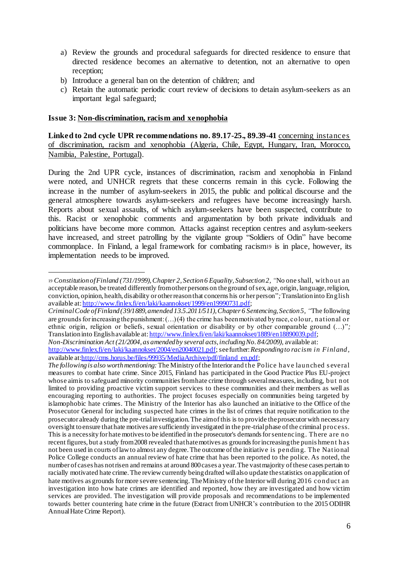- a) Review the grounds and procedural safeguards for directed residence to ensure that directed residence becomes an alternative to detention, not an alternative to open reception;
- b) Introduce a general ban on the detention of children; and
- c) Retain the automatic periodic court review of decisions to detain asylum-seekers as an important legal safeguard;

#### **Issue 3: Non-discrimination, racism and xenophobia**

 $\overline{a}$ 

**Linked to 2nd cycle UPR recommendations no. 89.17-25., 89.39-41** concerning instances of discrimination, racism and xenophobia (Algeria, Chile, Egypt, Hungary, Iran, Morocco, Namibia, Palestine, Portugal).

During the 2nd UPR cycle, instances of discrimination, racism and xenophobia in Finland were noted, and UNHCR regrets that these concerns remain in this cycle. Following the increase in the number of asylum-seekers in 2015, the public and political discourse and the general atmosphere towards asylum-seekers and refugees have become increasingly harsh. Reports about sexual assaults, of which asylum-seekers have been suspected, contribute to this. Racist or xenophobic comments and argumentation by both private individuals and politicians have become more common. Attacks against reception centres and asylum-seekers have increased, and street patrolling by the vigilante group "Soldiers of Odin" have become commonplace. In Finland, a legal framework for combating racism<sup>19</sup> is in place, however, its implementation needs to be improved.

*Non-Discrimination Act (21/2004, as amended by several acts, including No. 84/2009),* available at:

<sup>19</sup> *Constitution of Finland (731/1999), Chapter 2, Section 6 Equality, Subsection 2, "*No one shall, without an acceptable reason, be treated differently from other persons on the ground of sex, age, origin, language, religion, conviction, opinion, health, disability or other reason that concerns his or her person"*;* Translation into English available at: http://www.finlex.fi/en/laki/kaannokset/1999/en19990731.pdf;

*Criminal Code of Finland (39/1889, amended 13.5.2011/511), Chapter 6 Sentencing, Section 5, "*The following are grounds for increasing the punishment:  $(...)(4)$  the crime has been motivated by race, colour, national or ethnic origin, religion or beliefs, sexual orientation or disability or by other comparable ground (…)"*;* Translation into English available at: http://www.finlex.fi/en/laki/kaannokset/1889/en18890039.pdf;

http://www.finlex.fi/en/laki/kaannokset/2004/en20040021.pdf; see further:*Responding to racism in Finland,*  available at:http://cms.horus.be/files/99935/MediaArchive/pdf/finland\_en.pdf;

*The following is also worth mentioning:* The Ministry of the Interior and the Police have launched s everal measures to combat hate crime. Since 2015, Finland has participated in the Good Practice Plus EU-project whose aim is to safeguard minority communities from hate crime through several measures, including, but not limited to providing proactive victim support services to these communities and their members as well as encouraging reporting to authorities. The project focuses especially on communities being targeted by islamophobic hate crimes. The Ministry of the Interior has also launched an initiative to the Office of the Prosecutor General for including suspected hate crimes in the list of crimes that require notification to the prosecutor already during the pre-trial investigation. The aim of this is to provide the prosecutor with necessary oversight to ensure that hate motives are sufficiently investigated in the pre-trial phase of the criminal process. This is a necessity for hate motives to be identified in the prosecutor's demands for sentencing. There are no recent figures, but a study from 2008 revealed that hate motives as grounds for increasing the punis hment has not been used in courts of law to almost any degree. The outcome of the initiative is pending. The National Police College conducts an annual review of hate crime that has been reported to the police. As noted, the number of cases has not risen and remains at around 800 cases a year. The vast majority of these cases pertain to racially motivated hate crime. The review currently being drafted will also update the statistics on application of hate motives as grounds for more severe sentencing. The Ministry of the Interior will during 2016 conduct an investigation into how hate crimes are identified and reported, how they are investigated and how victim services are provided. The investigation will provide proposals and recommendations to be implemented towards better countering hate crime in the future (Extract from UNHCR's contribution to the 2015 ODIHR Annual Hate Crime Report).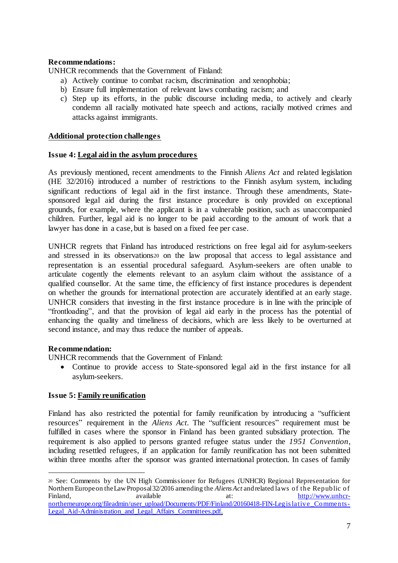### **Recommendations:**

UNHCR recommends that the Government of Finland:

- a) Actively continue to combat racism, discrimination and xenophobia;
- b) Ensure full implementation of relevant laws combating racism; and
- c) Step up its efforts, in the public discourse including media, to actively and clearly condemn all racially motivated hate speech and actions, racially motived crimes and attacks against immigrants.

### **Additional protection challenges**

### **Issue 4: Legal aid in the asylum procedures**

As previously mentioned, recent amendments to the Finnish *Aliens Act* and related legislation (HE 32/2016) introduced a number of restrictions to the Finnish asylum system, including significant reductions of legal aid in the first instance. Through these amendments, Statesponsored legal aid during the first instance procedure is only provided on exceptional grounds, for example, where the applicant is in a vulnerable position, such as unaccompanied children. Further, legal aid is no longer to be paid according to the amount of work that a lawyer has done in a case, but is based on a fixed fee per case.

UNHCR regrets that Finland has introduced restrictions on free legal aid for asylum-seekers and stressed in its observations<sup>20</sup> on the law proposal that access to legal assistance and representation is an essential procedural safeguard. Asylum-seekers are often unable to articulate cogently the elements relevant to an asylum claim without the assistance of a qualified counsellor. At the same time, the efficiency of first instance procedures is dependent on whether the grounds for international protection are accurately identified at an early stage. UNHCR considers that investing in the first instance procedure is in line with the principle of "frontloading", and that the provision of legal aid early in the process has the potential of enhancing the quality and timeliness of decisions, which are less likely to be overturned at second instance, and may thus reduce the number of appeals.

### **Recommendation:**

 $\overline{a}$ 

UNHCR recommends that the Government of Finland:

• Continue to provide access to State-sponsored legal aid in the first instance for all asylum-seekers.

### **Issue 5: Family reunification**

Finland has also restricted the potential for family reunification by introducing a "sufficient resources" requirement in the *Aliens Act*. The "sufficient resources" requirement must be fulfilled in cases where the sponsor in Finland has been granted subsidiary protection. The requirement is also applied to persons granted refugee status under the *1951 Convention*, including resettled refugees, if an application for family reunification has not been submitted within three months after the sponsor was granted international protection. In cases of family

<sup>20</sup> See: Comments by the UN High Commissioner for Refugees (UNHCR) Regional Representation for Northern Europe on the Law Proposal 32/2016 amending the *Aliens Act* and related laws of the Republic of Finland, available at: http://www.unhcrnortherneurope.org/fileadmin/user\_upload/Documents/PDF/Finland/20160418-FIN-Legis lative\_Comments-Legal Aid-Administration and Legal Affairs Committees.pdf.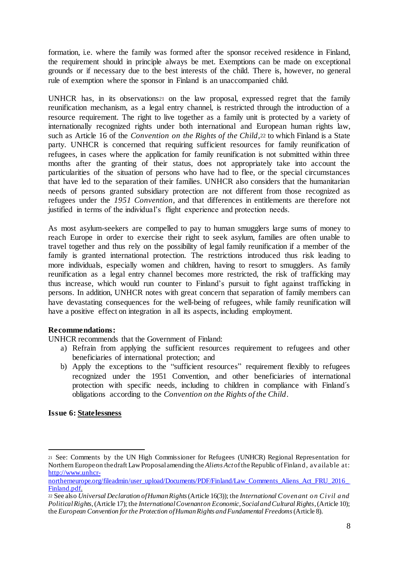formation, i.e. where the family was formed after the sponsor received residence in Finland, the requirement should in principle always be met. Exemptions can be made on exceptional grounds or if necessary due to the best interests of the child. There is, however, no general rule of exemption where the sponsor in Finland is an unaccompanied child.

UNHCR has, in its observations<sup>21</sup> on the law proposal, expressed regret that the family reunification mechanism, as a legal entry channel, is restricted through the introduction of a resource requirement. The right to live together as a family unit is protected by a variety of internationally recognized rights under both international and European human rights law, such as Article 16 of the *Convention on the Rights of the Child,*<sup>22</sup> to which Finland is a State party. UNHCR is concerned that requiring sufficient resources for family reunification of refugees, in cases where the application for family reunification is not submitted within three months after the granting of their status, does not appropriately take into account the particularities of the situation of persons who have had to flee, or the special circumstances that have led to the separation of their families. UNHCR also considers that the humanitarian needs of persons granted subsidiary protection are not different from those recognized as refugees under the *1951 Convention*, and that differences in entitlements are therefore not justified in terms of the individual's flight experience and protection needs.

As most asylum-seekers are compelled to pay to human smugglers large sums of money to reach Europe in order to exercise their right to seek asylum, families are often unable to travel together and thus rely on the possibility of legal family reunification if a member of the family is granted international protection. The restrictions introduced thus risk leading to more individuals, especially women and children, having to resort to smugglers. As family reunification as a legal entry channel becomes more restricted, the risk of trafficking may thus increase, which would run counter to Finland's pursuit to fight against trafficking in persons. In addition, UNHCR notes with great concern that separation of family members can have devastating consequences for the well-being of refugees, while family reunification will have a positive effect on integration in all its aspects, including employment.

# **Recommendations:**

UNHCR recommends that the Government of Finland:

- a) Refrain from applying the sufficient resources requirement to refugees and other beneficiaries of international protection; and
- b) Apply the exceptions to the "sufficient resources" requirement flexibly to refugees recognized under the 1951 Convention, and other beneficiaries of international protection with specific needs, including to children in compliance with Finland´s obligations according to the *Convention on the Rights of the Child*.

### **Issue 6: Statelessness**

<sup>21</sup> See: Comments by the UN High Commissioner for Refugees (UNHCR) Regional Representation for Northern Europe on the draft Law Proposal amending the *Aliens Act*of the Republic of Finland, available at: http://www.unhcr-

northerneurope.org/fileadmin/user\_upload/Documents/PDF/Finland/Law\_Comments\_Aliens\_Act\_FRU\_2016 Finland.pdf.

<sup>22</sup> See also *Universal Declaration of Human Rights*(Article 16(3)); the *International Covenant on Civil and Political Rights*, (Article 17); the *International Covenant on Economic, Social and Cultural Rights*, (Article 10); the *European Convention for the Protection of Human Rights and Fundamental Freedoms*(Article 8).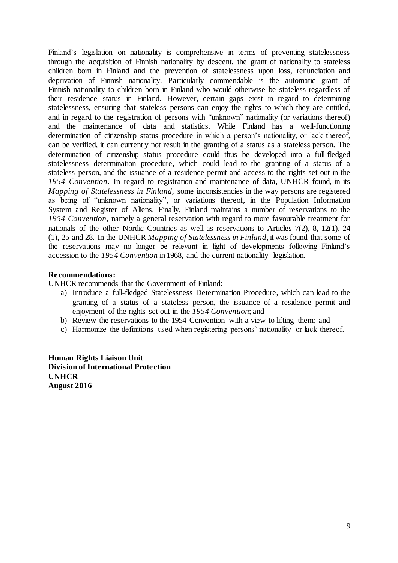Finland's legislation on nationality is comprehensive in terms of preventing statelessness through the acquisition of Finnish nationality by descent, the grant of nationality to stateless children born in Finland and the prevention of statelessness upon loss, renunciation and deprivation of Finnish nationality. Particularly commendable is the automatic grant of Finnish nationality to children born in Finland who would otherwise be stateless regardless of their residence status in Finland. However, certain gaps exist in regard to determining statelessness, ensuring that stateless persons can enjoy the rights to which they are entitled, and in regard to the registration of persons with "unknown" nationality (or variations thereof) and the maintenance of data and statistics. While Finland has a well-functioning determination of citizenship status procedure in which a person's nationality, or lack thereof, can be verified, it can currently not result in the granting of a status as a stateless person. The determination of citizenship status procedure could thus be developed into a full-fledged statelessness determination procedure, which could lead to the granting of a status of a stateless person, and the issuance of a residence permit and access to the rights set out in the *1954 Convention*. In regard to registration and maintenance of data, UNHCR found, in its *Mapping of Statelessness in Finland,* some inconsistencies in the way persons are registered as being of "unknown nationality", or variations thereof, in the Population Information System and Register of Aliens. Finally, Finland maintains a number of reservations to the *1954 Convention,* namely a general reservation with regard to more favourable treatment for nationals of the other Nordic Countries as well as reservations to Articles 7(2), 8, 12(1), 24 (1), 25 and 28. In the UNHCR *Mapping of Statelessness in Finland*, it was found that some of the reservations may no longer be relevant in light of developments following Finland's accession to the *1954 Convention* in 1968, and the current nationality legislation.

### **Recommendations:**

UNHCR recommends that the Government of Finland:

- a) Introduce a full-fledged Statelessness Determination Procedure, which can lead to the granting of a status of a stateless person, the issuance of a residence permit and enjoyment of the rights set out in the *1954 Convention*; and
- b) Review the reservations to the 1954 Convention with a view to lifting them; and
- c) Harmonize the definitions used when registering persons' nationality or lack thereof.

**Human Rights Liaison Unit Division of International Protection UNHCR August 2016**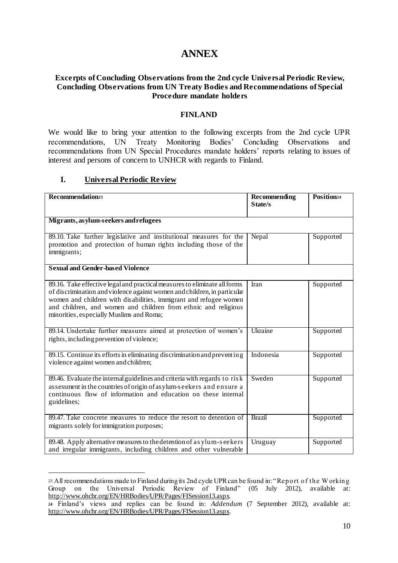# **ANNEX**

### **Excerpts of Concluding Observations from the 2nd cycle Universal Periodic Review, Concluding Observations from UN Treaty Bodies and Recommendations of Special Procedure mandate holders**

### **FINLAND**

We would like to bring your attention to the following excerpts from the 2nd cycle UPR recommendations, UN Treaty Monitoring Bodies' Concluding Observations and recommendations from UN Special Procedures mandate holders' reports relating to issues of interest and persons of concern to UNHCR with regards to Finland.

### **I. Universal Periodic Review**

| Recommendation <sup>23</sup>                                                                                                                                                                                                                                                                                                             | Recommending<br>State/s | Position <sup>24</sup> |
|------------------------------------------------------------------------------------------------------------------------------------------------------------------------------------------------------------------------------------------------------------------------------------------------------------------------------------------|-------------------------|------------------------|
| Migrants, asylum-seekers and refugees                                                                                                                                                                                                                                                                                                    |                         |                        |
| 89.10. Take further legislative and institutional measures for the<br>promotion and protection of human rights including those of the<br>immigrants;                                                                                                                                                                                     | Nepal                   | Supported              |
| <b>Sexual and Gender-based Violence</b>                                                                                                                                                                                                                                                                                                  |                         |                        |
| 89.16. Take effective legal and practical measures to eliminate all forms<br>of discrimination and violence against women and children, in particular<br>women and children with disabilities, immigrant and refugee women<br>and children, and women and children from ethnic and religious<br>minorities, especially Muslims and Roma; | Iran                    | Supported              |
| 89.14. Undertake further measures aimed at protection of women's<br>rights, including prevention of violence;                                                                                                                                                                                                                            | Ukraine                 | Supported              |
| 89.15. Continue its efforts in eliminating discrimination and preventing<br>violence against women and children;                                                                                                                                                                                                                         | Indonesia               | Supported              |
| 89.46. Evaluate the internal guidelines and criteria with regards to risk<br>assessment in the countries of origin of asylum-seekers and ensure a<br>continuous flow of information and education on these internal<br>guidelines;                                                                                                       | Sweden                  | Supported              |
| 89.47. Take concrete measures to reduce the resort to detention of<br>migrants solely for immigration purposes;                                                                                                                                                                                                                          | <b>Brazil</b>           | Supported              |
| 89.48. Apply alternative measures to the detention of as ylum-seekers<br>and irregular immigrants, including children and other vulnerable                                                                                                                                                                                               | Uruguay                 | Supported              |

<sup>23</sup> All recommendations made to Finland during its 2nd cycle UPR can be found in: "Report of the W orking Group on the Universal Periodic Review of Finland" (05 July 2012), available at: http://www.ohchr.org/EN/HRBodies/UPR/Pages/FISession13.aspx.

**<sup>24</sup>** Finland's views and replies can be found in: *Addendum* (7 September 2012), available at: http://www.ohchr.org/EN/HRBodies/UPR/Pages/FISession13.aspx.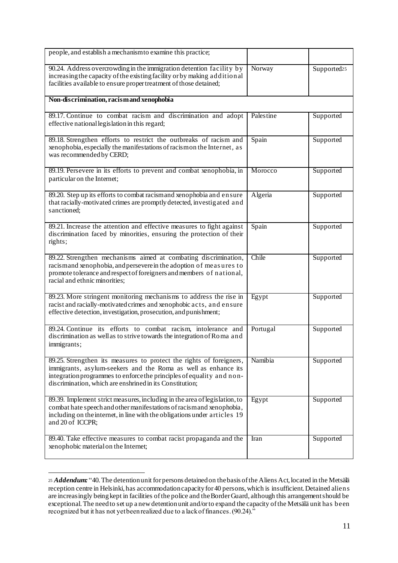| people, and establish a mechanism to examine this practice;                                                                                                                                                                                                                |           |                         |
|----------------------------------------------------------------------------------------------------------------------------------------------------------------------------------------------------------------------------------------------------------------------------|-----------|-------------------------|
| 90.24. Address overcrowding in the immigration detention facility by<br>increasing the capacity of the existing facility or by making additional<br>facilities available to ensure proper treatment of those detained;                                                     | Norway    | Supported <sub>25</sub> |
| Non-discrimination, racism and xenophobia                                                                                                                                                                                                                                  |           |                         |
| 89.17. Continue to combat racism and discrimination and adopt<br>effective national legislation in this regard;                                                                                                                                                            | Palestine | Supported               |
| 89.18. Strengthen efforts to restrict the outbreaks of racism and<br>xenophobia, especially the manifestations of racismon the Internet, as<br>was recommended by CERD;                                                                                                    | Spain     | Supported               |
| 89.19. Persevere in its efforts to prevent and combat xenophobia, in<br>particular on the Internet;                                                                                                                                                                        | Morocco   | Supported               |
| 89.20. Step up its efforts to combat racismand xenophobia and ensure<br>that racially-motivated crimes are promptly detected, investig ated and<br>sanctioned;                                                                                                             | Algeria   | Supported               |
| 89.21. Increase the attention and effective measures to fight against<br>discrimination faced by minorities, ensuring the protection of their<br>rights;                                                                                                                   | Spain     | Supported               |
| 89.22. Strengthen mechanisms aimed at combating discrimination,<br>racismand xenophobia, and persevere in the adoption of measures to<br>promote tolerance and respect of foreigners and members of national,<br>racial and ethnic minorities;                             | Chile     | Supported               |
| 89.23. More stringent monitoring mechanisms to address the rise in<br>racist and racially-motivated crimes and xenophobic acts, and ensure<br>effective detection, investigation, prosecution, and punishment;                                                             | Egypt     | Supported               |
| 89.24. Continue its efforts to combat racism, intolerance and<br>discrimination as well as to strive towards the integration of Roma and<br>immigrants;                                                                                                                    | Portugal  | Supported               |
| 89.25. Strengthen its measures to protect the rights of foreigners,<br>immigrants, asylum-seekers and the Roma as well as enhance its<br>integration programmes to enforce the principles of equality and non-<br>discrimination, which are enshrined in its Constitution; | Namibia   | Supported               |
| 89.39. Implement strict measures, including in the area of legislation, to<br>combat hate speech and other manifestations of racism and xenophobia,<br>including on the internet, in line with the obligations under articles 19<br>and 20 of ICCPR;                       | Egypt     | Supported               |
| 89.40. Take effective measures to combat racist propaganda and the<br>xenophobic material on the Internet;                                                                                                                                                                 | Iran      | Supported               |

<sup>25</sup> *Addendum:* "40. The detention unit for persons detained on the basis of the Aliens Act, located in the Metsälä reception centre in Helsinki, has accommodation capacity for 40 persons, which is insufficient. Detained aliens are increasingly being kept in facilities of the police and the Border Guard, although this arrangement should be exceptional. The need to set up a new detention unit and/or to expand the capacity of the Metsälä unit has been recognized but it has not yet been realized due to a lack of finances. (90.24)."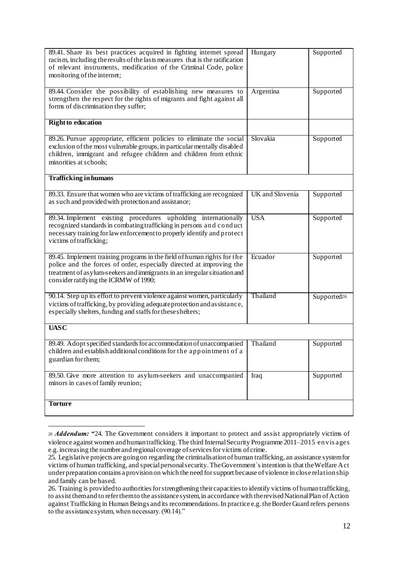| 89.41. Share its best practices acquired in fighting internet spread<br>racism, including the results of the lasts measures that is the ratification<br>of relevant instruments, modification of the Criminal Code, police<br>monitoring of the internet;            | Hungary         | Supported               |
|----------------------------------------------------------------------------------------------------------------------------------------------------------------------------------------------------------------------------------------------------------------------|-----------------|-------------------------|
| 89.44. Consider the possibility of establishing new measures to<br>strengthen the respect for the rights of migrants and fight against all<br>forms of discrimination they suffer;                                                                                   | Argentina       | Supported               |
| <b>Right to education</b>                                                                                                                                                                                                                                            |                 |                         |
| 89.26. Pursue appropriate, efficient policies to eliminate the social<br>exclusion of the most vulnerable groups, in particular mentally disabled<br>children, immigrant and refugee children and children from ethnic<br>minorities at schools;                     | Slovakia        | Supported               |
| <b>Trafficking in humans</b>                                                                                                                                                                                                                                         |                 |                         |
| 89.33. Ensure that women who are victims of trafficking are recognized<br>as such and provided with protection and assistance;                                                                                                                                       | UK and Slovenia | Supported               |
| 89.34. Implement existing procedures upholding internationally<br>recognized standards in combating trafficking in persons and conduct<br>necessary training for law enforcement to properly identify and protect<br>victims of trafficking;                         | <b>USA</b>      | Supported               |
| 89.45. Implement training programs in the field of human rights for the<br>police and the forces of order, especially directed at improving the<br>treatment of asylum-seekers and immigrants in an irregular situation and<br>consider ratifying the ICRMW of 1990; | Ecuador         | Supported               |
| 90.14. Step up its effort to prevent violence against women, particularly<br>victims of trafficking, by providing adequate protection and assistance,<br>especially shelters, funding and staffs for these shelters;                                                 | Thailand        | Supported <sup>26</sup> |
| <b>UASC</b>                                                                                                                                                                                                                                                          |                 |                         |
| 89.49. Adopt specified standards for accommodation of unaccompanied<br>children and establish additional conditions for the appointment of a<br>guardian for them;                                                                                                   | Thailand        | Supported               |
| 89.50. Give more attention to asylum-seekers and unaccompanied<br>minors in cases of family reunion;                                                                                                                                                                 | Iraq            | Supported               |
| <b>Torture</b>                                                                                                                                                                                                                                                       |                 |                         |

<sup>26</sup> *Addendum: "*24. The Government considers it important to protect and assist appropriately victims of violence against women and human trafficking. The third Internal Security Programme 2011–2015 envis ages e.g. increasing the number and regional coverage of services for victims of crime.

<sup>25.</sup> Legislative projects are going on regarding the criminalisation of human trafficking, an assistance system for victims of human trafficking, and special personal security. The Government´s intention is that the Welfare Act under preparation contains a provision on which the need for support because of violence in close relationship and family can be based.

<sup>26.</sup> Training is provided to authorities for strengthening their capacities to identify victims of human trafficking, to assist them and to refer them to the assistance system, in accordance with the revised National Plan of Action against Trafficking in Human Beings and its recommendations. In practice e.g. the Border Guard refers persons to the assistance system, when necessary. (90.14)."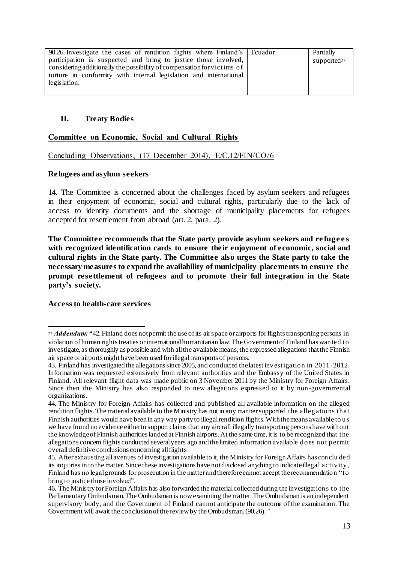| 90.26. Investigate the cases of rendition flights where Finland's Ecuador | Partially               |
|---------------------------------------------------------------------------|-------------------------|
| participation is suspected and bring to justice those involved,           | supported <sub>27</sub> |
| considering additionally the possibility of compensation for victims of   |                         |
| torture in conformity with internal legislation and international         |                         |
| legislation.                                                              |                         |
|                                                                           |                         |

# **II. Treaty Bodies**

# **Committee on Economic, Social and Cultural Rights**

Concluding Observations, (17 December 2014), E/C.12/FIN/CO/6

### **Refugees and asylum seekers**

14. The Committee is concerned about the challenges faced by asylum seekers and refugees in their enjoyment of economic, social and cultural rights, particularly due to the lack of access to identity documents and the shortage of municipality placements for refugees accepted for resettlement from abroad (art. 2, para. 2).

**The Committee recommends that the State party provide asylum seekers and re fuge e s with recognized identification cards to ensure their enjoyment of economic, social and cultural rights in the State party. The Committee also urges the State party to take the necessary measures to expand the availability of municipality placements to ensure the prompt resettlement of refugees and to promote their full integration in the State party's society.**

### **Access to health-care services**

 $\overline{a}$ <sup>27</sup> *Addendum: "*42. Finland does not permit the use of its air space or airports for flights transporting persons in violation of human rights treaties or international humanitarian law. The Government of Finland has wanted to investigate, as thoroughly as possible and with all the available means, the expressed allegations that the Finnish air space or airports might have been used for illegal transports of persons.

<sup>43.</sup> Finland has investigated the allegations since 2005, and conducted the latest investigation in 2011 -2012. Information was requested extensively from relevant authorities and the Embassy of the United States in Finland. All relevant flight data was made public on 3 November 2011 by the Ministry for Foreign Affairs. Since then the Ministry has also responded to new allegations expressed to it by non -governmental organizations.

<sup>44.</sup> The Ministry for Foreign Affairs has collected and published all available information on the alleged rendition flights. The material available to the Ministry has not in any manner supported the allegations that Finnish authorities would have been in any way party to illegal rendition flights. With the means available to us we have found no evidence either to support claims that any aircraft illegally transporting persons have without the knowledge of Finnish authorities landed at Finnish airports. At the same time, it is to be recognized that the allegations concern flights conducted several years ago and the limited information available does not permit overall definitive conclusions concerning all flights.

<sup>45.</sup> After exhausting all avenues of investigation available to it, the Ministry for Foreign Affairs has conclu ded its inquiries in to the matter. Since these investigations have not disclosed anything to indicate illegal activity, Finland has no legal grounds for prosecution in the matter and therefore cannot accept the recommendation "to bring to justice those involved".

<sup>46.</sup> The Ministry for Foreign Affairs has also forwarded the material collected during the investigations to the Parliamentary Ombudsman. The Ombudsman is now examining the matter. The Ombudsman is an independent supervisory body, and the Government of Finland cannot anticipate the outcome of the examination. The Government will await the conclusion of the review by the Ombudsman. (90.26).*"*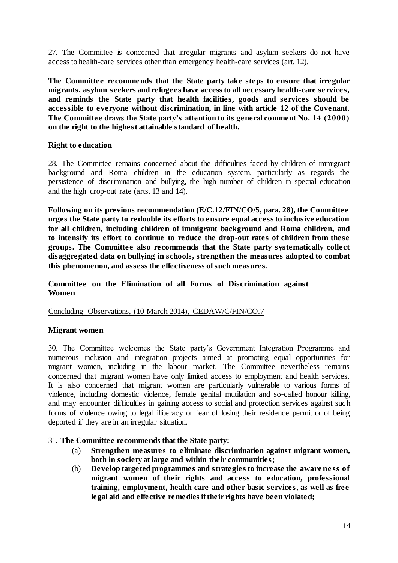27. The Committee is concerned that irregular migrants and asylum seekers do not have access to health-care services other than emergency health-care services (art. 12).

**The Committee recommends that the State party take steps to ensure that irregular migrants, asylum seekers and refugees have access to all necessary health-care services, and reminds the State party that health facilities, goods and services should be accessible to everyone without discrimination, in line with article 12 of the Covenant. The Committee draws the State party's attention to its general comment No. 14 (2000) on the right to the highest attainable standard of health.** 

### **Right to education**

28. The Committee remains concerned about the difficulties faced by children of immigrant background and Roma children in the education system, particularly as regards the persistence of discrimination and bullying, the high number of children in special education and the high drop-out rate (arts. 13 and 14).

**Following on its previous recommendation (E/C.12/FIN/CO/5, para. 28), the Committee urges the State party to redouble its efforts to ensure equal access to inclusive education for all children, including children of immigrant background and Roma children, and to intensify its effort to continue to reduce the drop-out rates of children from these groups. The Committee also recommends that the State party systematically collect disaggregated data on bullying in schools, strengthen the measures adopted to combat this phenomenon, and assess the effectiveness of such measures.**

### **Committee on the Elimination of all Forms of Discrimination against Women**

### Concluding Observations, (10 March 2014), CEDAW/C/FIN/CO.7

### **Migrant women**

30. The Committee welcomes the State party's Government Integration Programme and numerous inclusion and integration projects aimed at promoting equal opportunities for migrant women, including in the labour market. The Committee nevertheless remains concerned that migrant women have only limited access to employment and health services. It is also concerned that migrant women are particularly vulnerable to various forms of violence, including domestic violence, female genital mutilation and so-called honour killing, and may encounter difficulties in gaining access to social and protection services against such forms of violence owing to legal illiteracy or fear of losing their residence permit or of being deported if they are in an irregular situation.

### 31. **The Committee recommends that the State party:**

- (a) **Strengthen measures to eliminate discrimination against migrant women, both in society at large and within their communities;**
- (b) **Develop targeted programmes and strategies to increase the aware ne ss of migrant women of their rights and access to education, professional training, employment, health care and other basic services, as well as free legal aid and effective remedies if their rights have been violated;**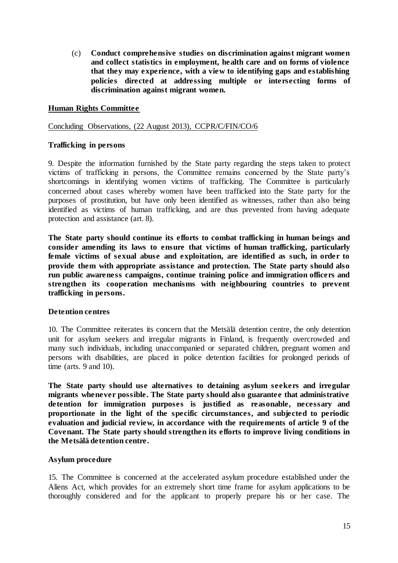(c) **Conduct comprehensive studies on discrimination against migrant women and collect statistics in employment, health care and on forms of violence that they may experience, with a view to identifying gaps and establishing policies directed at addressing multiple or intersecting forms of discrimination against migrant women.**

### **Human Rights Committee**

#### Concluding Observations, (22 August 2013), CCPR/C/FIN/CO/6

### **Trafficking in persons**

9. Despite the information furnished by the State party regarding the steps taken to protect victims of trafficking in persons, the Committee remains concerned by the State party's shortcomings in identifying women victims of trafficking. The Committee is particularly concerned about cases whereby women have been trafficked into the State party for the purposes of prostitution, but have only been identified as witnesses, rather than also being identified as victims of human trafficking, and are thus prevented from having adequate protection and assistance (art. 8).

**The State party should continue its efforts to combat trafficking in human beings and consider amending its laws to ensure that victims of human trafficking, particularly female victims of sexual abuse and exploitation, are identified as such, in order to provide them with appropriate assistance and protection. The State party should also run public awareness campaigns, continue training police and immigration officers and strengthen its cooperation mechanisms with neighbouring countries to prevent trafficking in persons.**

### **Detention centres**

10. The Committee reiterates its concern that the Metsälä detention centre, the only detention unit for asylum seekers and irregular migrants in Finland, is frequently overcrowded and many such individuals, including unaccompanied or separated children, pregnant women and persons with disabilities, are placed in police detention facilities for prolonged periods of time (arts. 9 and 10).

**The State party should use alternatives to detaining asylum seekers and irregular migrants whenever possible. The State party should also guarantee that administrative detention for immigration purposes is justified as reasonable, necessary and proportionate in the light of the specific circumstances, and subjected to periodic evaluation and judicial review, in accordance with the requirements of article 9 of the Covenant. The State party should strengthen its efforts to improve living conditions in the Metsälä detention centre.**

### **Asylum procedure**

15. The Committee is concerned at the accelerated asylum procedure established under the Aliens Act, which provides for an extremely short time frame for asylum applications to be thoroughly considered and for the applicant to properly prepare his or her case. The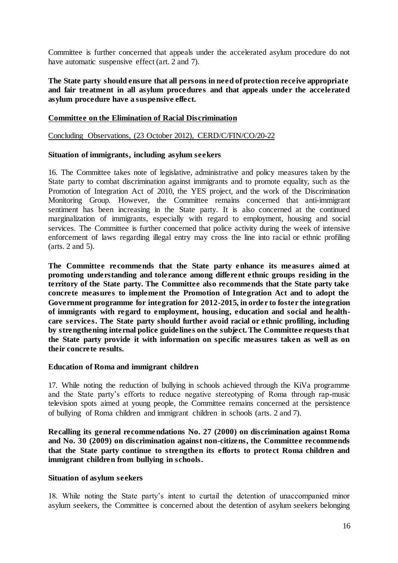Committee is further concerned that appeals under the accelerated asylum procedure do not have automatic suspensive effect (art. 2 and 7).

**The State party should ensure that all persons in need of protection receive appropriate and fair treatment in all asylum procedures and that appeals under the accelerated asylum procedure have a suspensive effect.**

#### **Committee on the Elimination of Racial Discrimination**

Concluding Observations, (23 October 2012), CERD/C/FIN/CO/20-22

#### **Situation of immigrants, including asylum seekers**

16. The Committee takes note of legislative, administrative and policy measures taken by the State party to combat discrimination against immigrants and to promote equality, such as the Promotion of Integration Act of 2010, the YES project, and the work of the Discrimination Monitoring Group. However, the Committee remains concerned that anti-immigrant sentiment has been increasing in the State party. It is also concerned at the continued marginalization of immigrants, especially with regard to employment, housing and social services. The Committee is further concerned that police activity during the week of intensive enforcement of laws regarding illegal entry may cross the line into racial or ethnic profiling (arts. 2 and 5).

**The Committee recommends that the State party enhance its measures aimed at promoting understanding and tolerance among different ethnic groups residing in the territory of the State party. The Committee also recommends that the State party take concrete measures to implement the Promotion of Integration Act and to adopt the Government programme for integration for 2012-2015, in order to foster the integration of immigrants with regard to employment, housing, education and social and healthcare services. The State party should further avoid racial or ethnic profiling, including by strengthening internal police guidelines on the subject. The Committee requests that the State party provide it with information on specific measures taken as well as on their concrete results.** 

#### **Education of Roma and immigrant children**

17. While noting the reduction of bullying in schools achieved through the KiVa programme and the State party's efforts to reduce negative stereotyping of Roma through rap-music television spots aimed at young people, the Committee remains concerned at the persistence of bullying of Roma children and immigrant children in schools (arts. 2 and 7).

**Recalling its general recommendations No. 27 (2000) on discrimination against Roma and No. 30 (2009) on discrimination against non-citizens, the Committee recommends that the State party continue to strengthen its efforts to protect Roma children and immigrant children from bullying in schools.**

#### **Situation of asylum seekers**

18. While noting the State party's intent to curtail the detention of unaccompanied minor asylum seekers, the Committee is concerned about the detention of asylum seekers belonging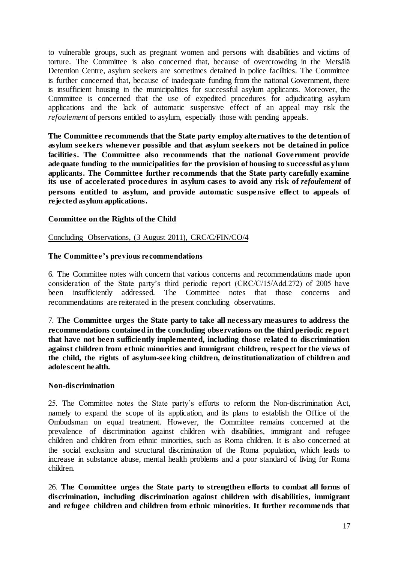to vulnerable groups, such as pregnant women and persons with disabilities and victims of torture. The Committee is also concerned that, because of overcrowding in the Metsälä Detention Centre, asylum seekers are sometimes detained in police facilities. The Committee is further concerned that, because of inadequate funding from the national Government, there is insufficient housing in the municipalities for successful asylum applicants. Moreover, the Committee is concerned that the use of expedited procedures for adjudicating asylum applications and the lack of automatic suspensive effect of an appeal may risk the *refoulement* of persons entitled to asylum, especially those with pending appeals.

**The Committee recommends that the State party employ alternatives to the detention of asylum seekers whenever possible and that asylum seekers not be detained in police facilities. The Committee also recommends that the national Government provide adequate funding to the municipalities for the provision of housing to successful as ylum applicants. The Committee further recommends that the State party carefully examine its use of accelerated procedures in asylum cases to avoid any risk of** *refoulement* **of persons entitled to asylum, and provide automatic suspensive effect to appeals of rejected asylum applications.**

### **Committee on the Rights of the Child**

### Concluding Observations, (3 August 2011), CRC/C/FIN/CO/4

### **The Committee's previous recommendations**

6. The Committee notes with concern that various concerns and recommendations made upon consideration of the State party's third periodic report (CRC/C/15/Add.272) of 2005 have been insufficiently addressed. The Committee notes that those concerns and recommendations are reiterated in the present concluding observations.

7. **The Committee urges the State party to take all necessary measures to address the recommendations contained in the concluding observations on the third periodic re port that have not been sufficiently implemented, including those related to discrimination against children from ethnic minorities and immigrant children, respect for the views of the child, the rights of asylum-seeking children, deinstitutionalization of children and adolescent health.**

### **Non-discrimination**

25. The Committee notes the State party's efforts to reform the Non-discrimination Act, namely to expand the scope of its application, and its plans to establish the Office of the Ombudsman on equal treatment. However, the Committee remains concerned at the prevalence of discrimination against children with disabilities, immigrant and refugee children and children from ethnic minorities, such as Roma children. It is also concerned at the social exclusion and structural discrimination of the Roma population, which leads to increase in substance abuse, mental health problems and a poor standard of living for Roma children.

26. **The Committee urges the State party to strengthen efforts to combat all forms of discrimination, including discrimination against children with disabilities, immigrant and refugee children and children from ethnic minorities. It further recommends that**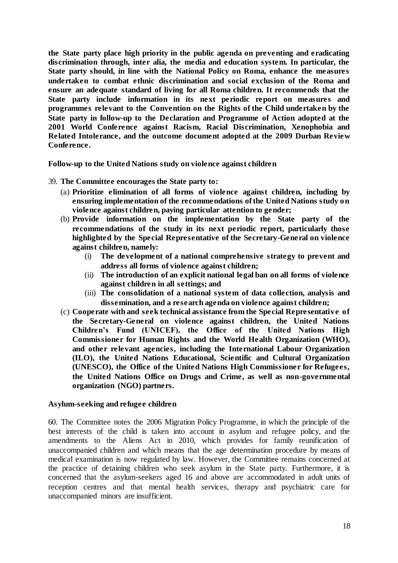**the State party place high priority in the public agenda on preventing and eradicating discrimination through, inter alia, the media and education system. In particular, the State party should, in line with the National Policy on Roma, enhance the measures undertaken to combat ethnic discrimination and social exclusion of the Roma and ensure an adequate standard of living for all Roma children. It recommends that the State party include information in its next periodic report on measures and programmes relevant to the Convention on the Rights of the Child undertaken by the State party in follow-up to the Declaration and Programme of Action adopted at the 2001 World Conference against Racism, Racial Discrimination, Xenophobia and Related Intolerance, and the outcome document adopted at the 2009 Durban Review Conference.**

**Follow-up to the United Nations study on violence against children**

- 39. **The Committee encourages the State party to:**
	- (a) **Prioritize elimination of all forms of violence against children, including by ensuring implementation of the recommendations of the United Nations study on violence against children, paying particular attention to gender;**
	- (b) **Provide information on the implementation by the State party of the recommendations of the study in its next periodic report, particularly those highlighted by the Special Representative of the Secretary-General on violence against children, namely:**
		- (i) **The development of a national comprehensive strategy to prevent and address all forms of violence against children;**
		- (ii) **The introduction of an explicit national legal ban on all forms of violence against children in all settings; and**
		- (iii) **The consolidation of a national system of data collection, analysis and dissemination, and a research agenda on violence against children;**
	- (c) **Cooperate with and seek technical assistance from the Special Representative of the Secretary-General on violence against children, the United Nations Children's Fund (UNICEF), the Office of the United Nations High Commissioner for Human Rights and the World Health Organization (WHO), and other relevant agencies, including the International Labour Organization (ILO), the United Nations Educational, Scientific and Cultural Organization (UNESCO), the Office of the United Nations High Commissioner for Refugees, the United Nations Office on Drugs and Crime, as well as non-governmental organization (NGO) partners.**

### **Asylum-seeking and refugee children**

60. The Committee notes the 2006 Migration Policy Programme, in which the principle of the best interests of the child is taken into account in asylum and refugee policy, and the amendments to the Aliens Act in 2010, which provides for family reunification of unaccompanied children and which means that the age determination procedure by means of medical examination is now regulated by law. However, the Committee remains concerned at the practice of detaining children who seek asylum in the State party. Furthermore, it is concerned that the asylum-seekers aged 16 and above are accommodated in adult units of reception centres and that mental health services, therapy and psychiatric care for unaccompanied minors are insufficient.